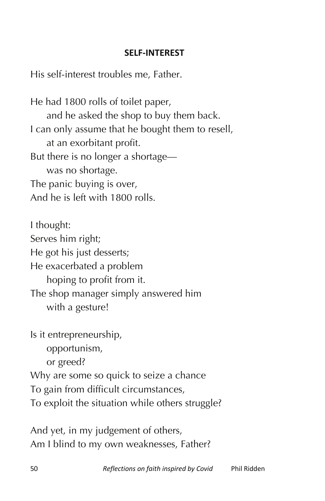## **SELF-INTEREST**

His self-interest troubles me, Father.

He had 1800 rolls of toilet paper, and he asked the shop to buy them back. I can only assume that he bought them to resell, at an exorbitant profit. But there is no longer a shortage was no shortage. The panic buying is over, And he is left with 1800 rolls.

I thought: Serves him right; He got his just desserts; He exacerbated a problem hoping to profit from it. The shop manager simply answered him with a gesture!

Is it entrepreneurship, opportunism, or greed? Why are some so quick to seize a chance To gain from difficult circumstances, To exploit the situation while others struggle?

And yet, in my judgement of others, Am I blind to my own weaknesses, Father?